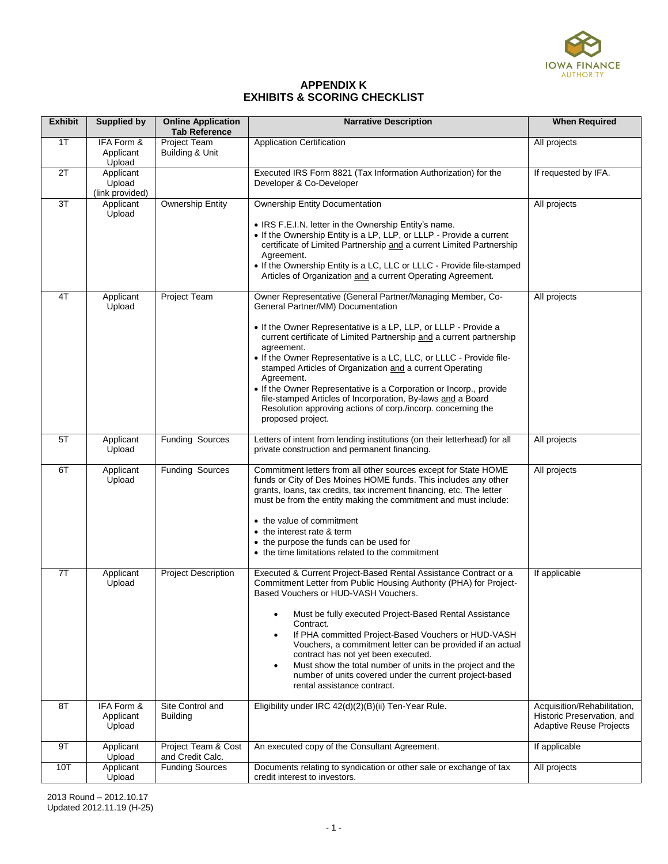

## **APPENDIX K EXHIBITS & SCORING CHECKLIST**

| <b>Exhibit</b> | <b>Supplied by</b>                     | <b>Online Application</b><br><b>Tab Reference</b> | <b>Narrative Description</b>                                                                                                                                                                                                                                                                                                                                                                                                                                                                                                                                                                                                        | <b>When Required</b>                                                                        |
|----------------|----------------------------------------|---------------------------------------------------|-------------------------------------------------------------------------------------------------------------------------------------------------------------------------------------------------------------------------------------------------------------------------------------------------------------------------------------------------------------------------------------------------------------------------------------------------------------------------------------------------------------------------------------------------------------------------------------------------------------------------------------|---------------------------------------------------------------------------------------------|
| 1T             | IFA Form &<br>Applicant<br>Upload      | Project Team<br>Building & Unit                   | <b>Application Certification</b>                                                                                                                                                                                                                                                                                                                                                                                                                                                                                                                                                                                                    | All projects                                                                                |
| 2T             | Applicant<br>Upload<br>(link provided) |                                                   | Executed IRS Form 8821 (Tax Information Authorization) for the<br>Developer & Co-Developer                                                                                                                                                                                                                                                                                                                                                                                                                                                                                                                                          | If requested by IFA.                                                                        |
| 3T             | Applicant<br>Upload                    | <b>Ownership Entity</b>                           | <b>Ownership Entity Documentation</b><br>• IRS F.E.I.N. letter in the Ownership Entity's name.<br>• If the Ownership Entity is a LP, LLP, or LLLP - Provide a current<br>certificate of Limited Partnership and a current Limited Partnership<br>Agreement.<br>• If the Ownership Entity is a LC, LLC or LLLC - Provide file-stamped<br>Articles of Organization and a current Operating Agreement.                                                                                                                                                                                                                                 | All projects                                                                                |
| 4T             | Applicant<br>Upload                    | Project Team                                      | Owner Representative (General Partner/Managing Member, Co-<br>General Partner/MM) Documentation<br>• If the Owner Representative is a LP, LLP, or LLLP - Provide a<br>current certificate of Limited Partnership and a current partnership<br>agreement.<br>• If the Owner Representative is a LC, LLC, or LLLC - Provide file-<br>stamped Articles of Organization and a current Operating<br>Agreement.<br>• If the Owner Representative is a Corporation or Incorp., provide<br>file-stamped Articles of Incorporation, By-laws and a Board<br>Resolution approving actions of corp./incorp. concerning the<br>proposed project. | All projects                                                                                |
| 5T             | Applicant<br>Upload                    | <b>Funding Sources</b>                            | Letters of intent from lending institutions (on their letterhead) for all<br>private construction and permanent financing.                                                                                                                                                                                                                                                                                                                                                                                                                                                                                                          | All projects                                                                                |
| 6T             | Applicant<br>Upload                    | <b>Funding Sources</b>                            | Commitment letters from all other sources except for State HOME<br>funds or City of Des Moines HOME funds. This includes any other<br>grants, loans, tax credits, tax increment financing, etc. The letter<br>must be from the entity making the commitment and must include:<br>• the value of commitment<br>• the interest rate & term<br>• the purpose the funds can be used for<br>• the time limitations related to the commitment                                                                                                                                                                                             | All projects                                                                                |
| 7T             | Applicant<br>Upload                    | <b>Project Description</b>                        | Executed & Current Project-Based Rental Assistance Contract or a<br>Commitment Letter from Public Housing Authority (PHA) for Project-<br>Based Vouchers or HUD-VASH Vouchers.<br>Must be fully executed Project-Based Rental Assistance<br>$\bullet$<br>Contract.<br>If PHA committed Project-Based Vouchers or HUD-VASH<br>$\bullet$<br>Vouchers, a commitment letter can be provided if an actual<br>contract has not yet been executed.<br>Must show the total number of units in the project and the<br>$\bullet$<br>number of units covered under the current project-based<br>rental assistance contract.                    | If applicable                                                                               |
| 8T             | IFA Form &<br>Applicant<br>Upload      | Site Control and<br><b>Building</b>               | Eligibility under IRC 42(d)(2)(B)(ii) Ten-Year Rule.                                                                                                                                                                                                                                                                                                                                                                                                                                                                                                                                                                                | Acquisition/Rehabilitation,<br>Historic Preservation, and<br><b>Adaptive Reuse Projects</b> |
| 9T             | Applicant<br>Upload                    | Project Team & Cost<br>and Credit Calc.           | An executed copy of the Consultant Agreement.                                                                                                                                                                                                                                                                                                                                                                                                                                                                                                                                                                                       | If applicable                                                                               |
| 10T            | Applicant<br>Upload                    | <b>Funding Sources</b>                            | Documents relating to syndication or other sale or exchange of tax<br>credit interest to investors.                                                                                                                                                                                                                                                                                                                                                                                                                                                                                                                                 | All projects                                                                                |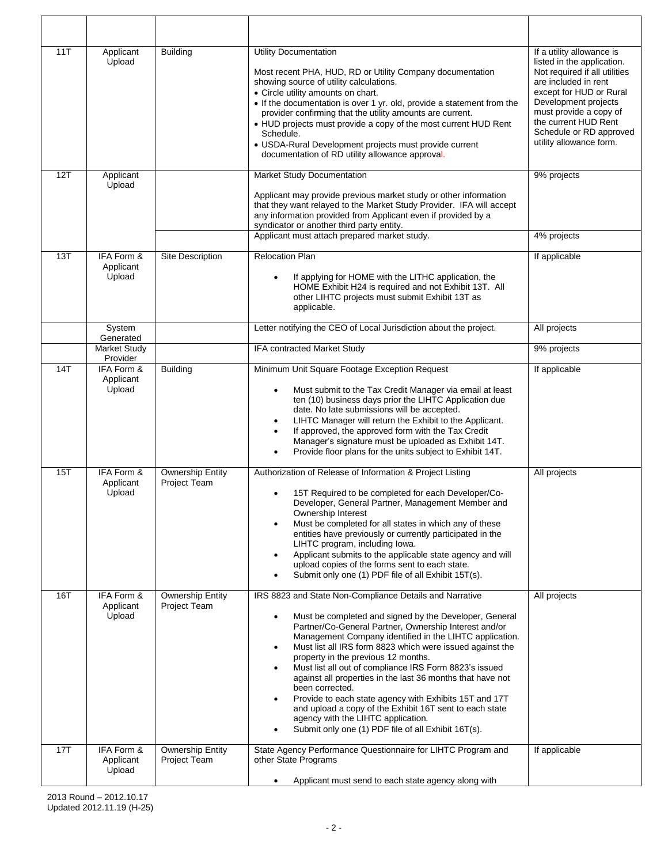| 11T | Applicant<br>Upload               | <b>Building</b>                         | <b>Utility Documentation</b><br>Most recent PHA, HUD, RD or Utility Company documentation<br>showing source of utility calculations.<br>• Circle utility amounts on chart.<br>. If the documentation is over 1 yr. old, provide a statement from the<br>provider confirming that the utility amounts are current.<br>• HUD projects must provide a copy of the most current HUD Rent<br>Schedule.<br>• USDA-Rural Development projects must provide current<br>documentation of RD utility allowance approval.                                                                                                                                                                                                                                             | If a utility allowance is<br>listed in the application.<br>Not required if all utilities<br>are included in rent<br>except for HUD or Rural<br>Development projects<br>must provide a copy of<br>the current HUD Rent<br>Schedule or RD approved<br>utility allowance form. |
|-----|-----------------------------------|-----------------------------------------|------------------------------------------------------------------------------------------------------------------------------------------------------------------------------------------------------------------------------------------------------------------------------------------------------------------------------------------------------------------------------------------------------------------------------------------------------------------------------------------------------------------------------------------------------------------------------------------------------------------------------------------------------------------------------------------------------------------------------------------------------------|-----------------------------------------------------------------------------------------------------------------------------------------------------------------------------------------------------------------------------------------------------------------------------|
| 12T | Applicant<br>Upload               |                                         | Market Study Documentation                                                                                                                                                                                                                                                                                                                                                                                                                                                                                                                                                                                                                                                                                                                                 | 9% projects                                                                                                                                                                                                                                                                 |
|     |                                   |                                         | Applicant may provide previous market study or other information<br>that they want relayed to the Market Study Provider. IFA will accept<br>any information provided from Applicant even if provided by a<br>syndicator or another third party entity.                                                                                                                                                                                                                                                                                                                                                                                                                                                                                                     |                                                                                                                                                                                                                                                                             |
|     |                                   |                                         | Applicant must attach prepared market study.                                                                                                                                                                                                                                                                                                                                                                                                                                                                                                                                                                                                                                                                                                               | 4% projects                                                                                                                                                                                                                                                                 |
| 13T | IFA Form &<br>Applicant<br>Upload | Site Description                        | Relocation Plan<br>If applying for HOME with the LITHC application, the<br>HOME Exhibit H24 is required and not Exhibit 13T. All<br>other LIHTC projects must submit Exhibit 13T as<br>applicable.                                                                                                                                                                                                                                                                                                                                                                                                                                                                                                                                                         | If applicable                                                                                                                                                                                                                                                               |
|     | System<br>Generated               |                                         | Letter notifying the CEO of Local Jurisdiction about the project.                                                                                                                                                                                                                                                                                                                                                                                                                                                                                                                                                                                                                                                                                          | All projects                                                                                                                                                                                                                                                                |
|     | Market Study<br>Provider          |                                         | IFA contracted Market Study                                                                                                                                                                                                                                                                                                                                                                                                                                                                                                                                                                                                                                                                                                                                | 9% projects                                                                                                                                                                                                                                                                 |
| 14T | IFA Form &<br>Applicant<br>Upload | <b>Building</b>                         | Minimum Unit Square Footage Exception Request<br>Must submit to the Tax Credit Manager via email at least<br>$\bullet$<br>ten (10) business days prior the LIHTC Application due<br>date. No late submissions will be accepted.<br>LIHTC Manager will return the Exhibit to the Applicant.<br>$\bullet$<br>If approved, the approved form with the Tax Credit<br>$\bullet$<br>Manager's signature must be uploaded as Exhibit 14T.<br>Provide floor plans for the units subject to Exhibit 14T.<br>٠                                                                                                                                                                                                                                                       | If applicable                                                                                                                                                                                                                                                               |
| 15T | IFA Form &<br>Applicant<br>Upload | <b>Ownership Entity</b><br>Project Team | Authorization of Release of Information & Project Listing<br>15T Required to be completed for each Developer/Co-<br>Developer, General Partner, Management Member and<br>Ownership Interest<br>Must be completed for all states in which any of these<br>$\bullet$<br>entities have previously or currently participated in the<br>LIHTC program, including lowa.<br>Applicant submits to the applicable state agency and will<br>$\bullet$<br>upload copies of the forms sent to each state.<br>Submit only one (1) PDF file of all Exhibit 15T(s).<br>٠                                                                                                                                                                                                  | All projects                                                                                                                                                                                                                                                                |
| 16T | IFA Form &<br>Applicant<br>Upload | <b>Ownership Entity</b><br>Project Team | IRS 8823 and State Non-Compliance Details and Narrative<br>Must be completed and signed by the Developer, General<br>$\bullet$<br>Partner/Co-General Partner, Ownership Interest and/or<br>Management Company identified in the LIHTC application.<br>Must list all IRS form 8823 which were issued against the<br>$\bullet$<br>property in the previous 12 months.<br>Must list all out of compliance IRS Form 8823's issued<br>$\bullet$<br>against all properties in the last 36 months that have not<br>been corrected.<br>Provide to each state agency with Exhibits 15T and 17T<br>$\bullet$<br>and upload a copy of the Exhibit 16T sent to each state<br>agency with the LIHTC application.<br>Submit only one (1) PDF file of all Exhibit 16T(s). | All projects                                                                                                                                                                                                                                                                |
| 17T | IFA Form &<br>Applicant<br>Upload | <b>Ownership Entity</b><br>Project Team | State Agency Performance Questionnaire for LIHTC Program and<br>other State Programs<br>Applicant must send to each state agency along with                                                                                                                                                                                                                                                                                                                                                                                                                                                                                                                                                                                                                | If applicable                                                                                                                                                                                                                                                               |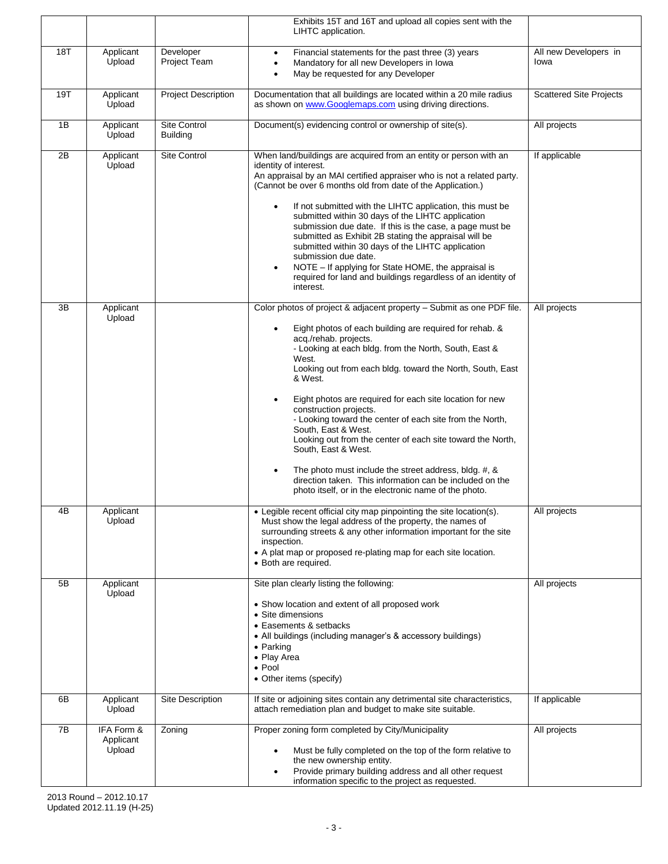|     |                                   |                                 | Exhibits 15T and 16T and upload all copies sent with the<br>LIHTC application.                                                                                                                                                                                                                                                                                                                                                                                                                                                                                                                                                                                                                                                                                                         |                                |
|-----|-----------------------------------|---------------------------------|----------------------------------------------------------------------------------------------------------------------------------------------------------------------------------------------------------------------------------------------------------------------------------------------------------------------------------------------------------------------------------------------------------------------------------------------------------------------------------------------------------------------------------------------------------------------------------------------------------------------------------------------------------------------------------------------------------------------------------------------------------------------------------------|--------------------------------|
| 18T | Applicant<br>Upload               | Developer<br>Project Team       | Financial statements for the past three (3) years<br>$\bullet$<br>Mandatory for all new Developers in Iowa<br>$\bullet$<br>May be requested for any Developer<br>$\bullet$                                                                                                                                                                                                                                                                                                                                                                                                                                                                                                                                                                                                             | All new Developers in<br>lowa  |
| 19T | Applicant<br>Upload               | <b>Project Description</b>      | Documentation that all buildings are located within a 20 mile radius<br>as shown on www.Googlemaps.com using driving directions.                                                                                                                                                                                                                                                                                                                                                                                                                                                                                                                                                                                                                                                       | <b>Scattered Site Projects</b> |
| 1B  | Applicant<br>Upload               | Site Control<br><b>Building</b> | Document(s) evidencing control or ownership of site(s).                                                                                                                                                                                                                                                                                                                                                                                                                                                                                                                                                                                                                                                                                                                                | All projects                   |
| 2B  | Applicant<br>Upload               | Site Control                    | When land/buildings are acquired from an entity or person with an<br>identity of interest.<br>An appraisal by an MAI certified appraiser who is not a related party.<br>(Cannot be over 6 months old from date of the Application.)<br>If not submitted with the LIHTC application, this must be<br>$\bullet$<br>submitted within 30 days of the LIHTC application<br>submission due date. If this is the case, a page must be<br>submitted as Exhibit 2B stating the appraisal will be<br>submitted within 30 days of the LIHTC application<br>submission due date.<br>NOTE - If applying for State HOME, the appraisal is<br>$\bullet$<br>required for land and buildings regardless of an identity of<br>interest.                                                                  | If applicable                  |
| 3B  | Applicant<br>Upload               |                                 | Color photos of project & adjacent property - Submit as one PDF file.<br>Eight photos of each building are required for rehab. &<br>$\bullet$<br>acq./rehab. projects.<br>- Looking at each bldg. from the North, South, East &<br>West.<br>Looking out from each bldg. toward the North, South, East<br>& West.<br>Eight photos are required for each site location for new<br>$\bullet$<br>construction projects.<br>- Looking toward the center of each site from the North,<br>South, East & West.<br>Looking out from the center of each site toward the North,<br>South, East & West.<br>The photo must include the street address, bldg. #, &<br>$\bullet$<br>direction taken. This information can be included on the<br>photo itself, or in the electronic name of the photo. | All projects                   |
| 4B  | Applicant<br>Upload               |                                 | • Legible recent official city map pinpointing the site location(s).<br>Must show the legal address of the property, the names of<br>surrounding streets & any other information important for the site<br>inspection.<br>• A plat map or proposed re-plating map for each site location.<br>• Both are required.                                                                                                                                                                                                                                                                                                                                                                                                                                                                      | All projects                   |
| 5B  | Applicant<br>Upload               |                                 | Site plan clearly listing the following:<br>• Show location and extent of all proposed work<br>• Site dimensions<br>• Easements & setbacks<br>• All buildings (including manager's & accessory buildings)<br>• Parking<br>• Play Area<br>$\bullet$ Pool<br>• Other items (specify)                                                                                                                                                                                                                                                                                                                                                                                                                                                                                                     | All projects                   |
| 6B  | Applicant<br>Upload               | Site Description                | If site or adjoining sites contain any detrimental site characteristics,<br>attach remediation plan and budget to make site suitable.                                                                                                                                                                                                                                                                                                                                                                                                                                                                                                                                                                                                                                                  | If applicable                  |
| 7B  | IFA Form &<br>Applicant<br>Upload | Zoning                          | Proper zoning form completed by City/Municipality<br>Must be fully completed on the top of the form relative to<br>$\bullet$<br>the new ownership entity.<br>Provide primary building address and all other request<br>$\bullet$<br>information specific to the project as requested.                                                                                                                                                                                                                                                                                                                                                                                                                                                                                                  | All projects                   |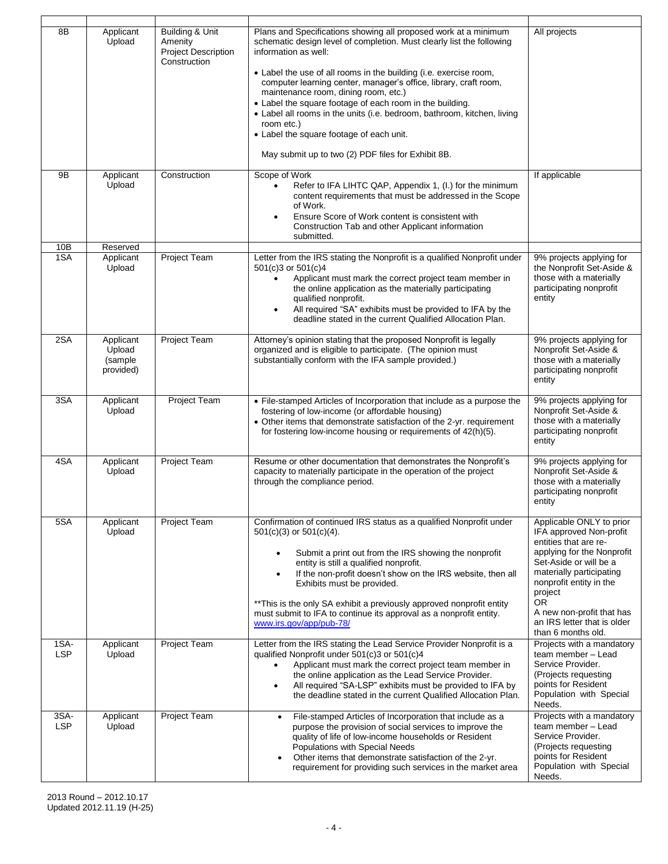| 8B                 | Applicant<br>Upload                         | <b>Building &amp; Unit</b><br>Amenity<br><b>Project Description</b><br>Construction | Plans and Specifications showing all proposed work at a minimum<br>schematic design level of completion. Must clearly list the following<br>information as well:<br>• Label the use of all rooms in the building (i.e. exercise room,<br>computer learning center, manager's office, library, craft room,<br>maintenance room, dining room, etc.)<br>• Label the square footage of each room in the building.<br>• Label all rooms in the units (i.e. bedroom, bathroom, kitchen, living<br>room etc.)<br>• Label the square footage of each unit.<br>May submit up to two (2) PDF files for Exhibit 8B. | All projects                                                                                                                                                                                                                                                                                          |
|--------------------|---------------------------------------------|-------------------------------------------------------------------------------------|----------------------------------------------------------------------------------------------------------------------------------------------------------------------------------------------------------------------------------------------------------------------------------------------------------------------------------------------------------------------------------------------------------------------------------------------------------------------------------------------------------------------------------------------------------------------------------------------------------|-------------------------------------------------------------------------------------------------------------------------------------------------------------------------------------------------------------------------------------------------------------------------------------------------------|
| 9B                 | Applicant<br>Upload                         | Construction                                                                        | Scope of Work<br>Refer to IFA LIHTC QAP, Appendix 1, (I.) for the minimum<br>content requirements that must be addressed in the Scope<br>of Work.<br>Ensure Score of Work content is consistent with<br>$\bullet$<br>Construction Tab and other Applicant information                                                                                                                                                                                                                                                                                                                                    | If applicable                                                                                                                                                                                                                                                                                         |
|                    |                                             |                                                                                     | submitted.                                                                                                                                                                                                                                                                                                                                                                                                                                                                                                                                                                                               |                                                                                                                                                                                                                                                                                                       |
| 10B<br>1SA         | Reserved<br>Applicant<br>Upload             | Project Team                                                                        | Letter from the IRS stating the Nonprofit is a qualified Nonprofit under<br>501(c)3 or 501(c)4<br>Applicant must mark the correct project team member in<br>$\bullet$<br>the online application as the materially participating<br>qualified nonprofit.<br>All required "SA" exhibits must be provided to IFA by the<br>$\bullet$<br>deadline stated in the current Qualified Allocation Plan.                                                                                                                                                                                                           | 9% projects applying for<br>the Nonprofit Set-Aside &<br>those with a materially<br>participating nonprofit<br>entity                                                                                                                                                                                 |
| 2SA                | Applicant<br>Upload<br>(sample<br>provided) | <b>Project Team</b>                                                                 | Attorney's opinion stating that the proposed Nonprofit is legally<br>organized and is eligible to participate. (The opinion must<br>substantially conform with the IFA sample provided.)                                                                                                                                                                                                                                                                                                                                                                                                                 | 9% projects applying for<br>Nonprofit Set-Aside &<br>those with a materially<br>participating nonprofit<br>entity                                                                                                                                                                                     |
| 3SA                | Applicant<br>Upload                         | Project Team                                                                        | • File-stamped Articles of Incorporation that include as a purpose the<br>fostering of low-income (or affordable housing)<br>• Other items that demonstrate satisfaction of the 2-yr. requirement<br>for fostering low-income housing or requirements of 42(h)(5).                                                                                                                                                                                                                                                                                                                                       | 9% projects applying for<br>Nonprofit Set-Aside &<br>those with a materially<br>participating nonprofit<br>entity                                                                                                                                                                                     |
| 4SA                | Applicant<br>Upload                         | <b>Project Team</b>                                                                 | Resume or other documentation that demonstrates the Nonprofit's<br>capacity to materially participate in the operation of the project<br>through the compliance period.                                                                                                                                                                                                                                                                                                                                                                                                                                  | 9% projects applying for<br>Nonprofit Set-Aside &<br>those with a materially<br>participating nonprofit<br>entity                                                                                                                                                                                     |
| 5S <sub>A</sub>    | Applicant<br>Upload                         | <b>Project Team</b>                                                                 | Confirmation of continued IRS status as a qualified Nonprofit under<br>$501(c)(3)$ or $501(c)(4)$ .<br>Submit a print out from the IRS showing the nonprofit<br>$\bullet$<br>entity is still a qualified nonprofit.<br>If the non-profit doesn't show on the IRS website, then all<br>$\bullet$<br>Exhibits must be provided.<br>** This is the only SA exhibit a previously approved nonprofit entity<br>must submit to IFA to continue its approval as a nonprofit entity.<br>www.irs.gov/app/pub-78/                                                                                                  | Applicable ONLY to prior<br>IFA approved Non-profit<br>entities that are re-<br>applying for the Nonprofit<br>Set-Aside or will be a<br>materially participating<br>nonprofit entity in the<br>project<br><b>OR</b><br>A new non-profit that has<br>an IRS letter that is older<br>than 6 months old. |
| 1SA-<br><b>LSP</b> | Applicant<br>Upload                         | Project Team                                                                        | Letter from the IRS stating the Lead Service Provider Nonprofit is a<br>qualified Nonprofit under 501(c)3 or 501(c)4<br>Applicant must mark the correct project team member in<br>$\bullet$<br>the online application as the Lead Service Provider.<br>All required "SA-LSP" exhibits must be provided to IFA by<br>$\bullet$<br>the deadline stated in the current Qualified Allocation Plan.                                                                                                                                                                                                           | Projects with a mandatory<br>team member - Lead<br>Service Provider.<br>(Projects requesting<br>points for Resident<br>Population with Special<br>Needs.                                                                                                                                              |
| 3SA-<br><b>LSP</b> | Applicant<br>Upload                         | Project Team                                                                        | File-stamped Articles of Incorporation that include as a<br>$\bullet$<br>purpose the provision of social services to improve the<br>quality of life of low-income households or Resident<br>Populations with Special Needs<br>Other items that demonstrate satisfaction of the 2-yr.<br>requirement for providing such services in the market area                                                                                                                                                                                                                                                       | Projects with a mandatory<br>team member - Lead<br>Service Provider.<br>(Projects requesting<br>points for Resident<br>Population with Special<br>Needs.                                                                                                                                              |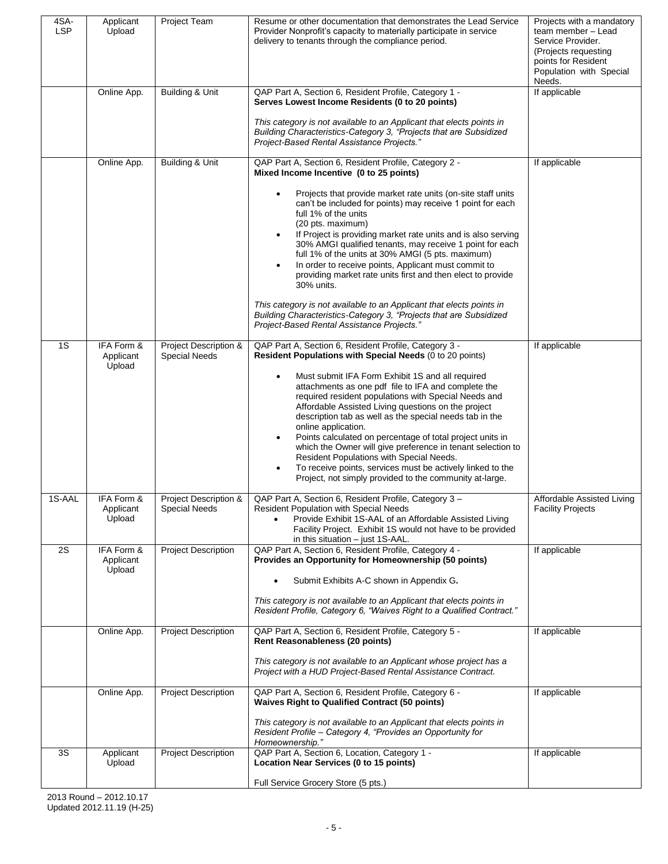| 4SA-<br><b>LSP</b> | Applicant<br>Upload               | <b>Project Team</b>                           | Resume or other documentation that demonstrates the Lead Service<br>Provider Nonprofit's capacity to materially participate in service<br>delivery to tenants through the compliance period.                                                                                                                                                                                                                                                                                                                                                                                                                                                     | Projects with a mandatory<br>team member - Lead<br>Service Provider.<br>(Projects requesting<br>points for Resident<br>Population with Special<br>Needs. |
|--------------------|-----------------------------------|-----------------------------------------------|--------------------------------------------------------------------------------------------------------------------------------------------------------------------------------------------------------------------------------------------------------------------------------------------------------------------------------------------------------------------------------------------------------------------------------------------------------------------------------------------------------------------------------------------------------------------------------------------------------------------------------------------------|----------------------------------------------------------------------------------------------------------------------------------------------------------|
|                    | Online App.                       | Building & Unit                               | QAP Part A, Section 6, Resident Profile, Category 1 -<br>Serves Lowest Income Residents (0 to 20 points)                                                                                                                                                                                                                                                                                                                                                                                                                                                                                                                                         | If applicable                                                                                                                                            |
|                    |                                   |                                               | This category is not available to an Applicant that elects points in<br>Building Characteristics-Category 3, "Projects that are Subsidized<br>Project-Based Rental Assistance Projects."                                                                                                                                                                                                                                                                                                                                                                                                                                                         |                                                                                                                                                          |
|                    | Online App.                       | Building & Unit                               | QAP Part A, Section 6, Resident Profile, Category 2 -<br>Mixed Income Incentive (0 to 25 points)                                                                                                                                                                                                                                                                                                                                                                                                                                                                                                                                                 | If applicable                                                                                                                                            |
|                    |                                   |                                               | Projects that provide market rate units (on-site staff units<br>$\bullet$<br>can't be included for points) may receive 1 point for each<br>full 1% of the units<br>(20 pts. maximum)<br>If Project is providing market rate units and is also serving<br>$\bullet$<br>30% AMGI qualified tenants, may receive 1 point for each<br>full 1% of the units at 30% AMGI (5 pts. maximum)                                                                                                                                                                                                                                                              |                                                                                                                                                          |
|                    |                                   |                                               | In order to receive points, Applicant must commit to<br>$\bullet$<br>providing market rate units first and then elect to provide<br>30% units.                                                                                                                                                                                                                                                                                                                                                                                                                                                                                                   |                                                                                                                                                          |
|                    |                                   |                                               | This category is not available to an Applicant that elects points in<br>Building Characteristics-Category 3, "Projects that are Subsidized<br>Project-Based Rental Assistance Projects."                                                                                                                                                                                                                                                                                                                                                                                                                                                         |                                                                                                                                                          |
| 1S                 | IFA Form &<br>Applicant<br>Upload | Project Description &<br><b>Special Needs</b> | QAP Part A, Section 6, Resident Profile, Category 3 -<br>Resident Populations with Special Needs (0 to 20 points)                                                                                                                                                                                                                                                                                                                                                                                                                                                                                                                                | If applicable                                                                                                                                            |
|                    |                                   |                                               | Must submit IFA Form Exhibit 1S and all required<br>$\bullet$<br>attachments as one pdf file to IFA and complete the<br>required resident populations with Special Needs and<br>Affordable Assisted Living questions on the project<br>description tab as well as the special needs tab in the<br>online application.<br>Points calculated on percentage of total project units in<br>$\bullet$<br>which the Owner will give preference in tenant selection to<br>Resident Populations with Special Needs.<br>To receive points, services must be actively linked to the<br>$\bullet$<br>Project, not simply provided to the community at-large. |                                                                                                                                                          |
| 1S-AAL             | IFA Form &<br>Applicant<br>Upload | Project Description &<br><b>Special Needs</b> | QAP Part A, Section 6, Resident Profile, Category 3 -<br>Resident Population with Special Needs<br>Provide Exhibit 1S-AAL of an Affordable Assisted Living<br>$\bullet$<br>Facility Project. Exhibit 1S would not have to be provided<br>in this situation - just 1S-AAL.                                                                                                                                                                                                                                                                                                                                                                        | Affordable Assisted Living<br><b>Facility Projects</b>                                                                                                   |
| 2S                 | IFA Form &<br>Applicant<br>Upload | <b>Project Description</b>                    | QAP Part A, Section 6, Resident Profile, Category 4 -<br>Provides an Opportunity for Homeownership (50 points)                                                                                                                                                                                                                                                                                                                                                                                                                                                                                                                                   | If applicable                                                                                                                                            |
|                    |                                   |                                               | Submit Exhibits A-C shown in Appendix G.<br>This category is not available to an Applicant that elects points in<br>Resident Profile, Category 6, "Waives Right to a Qualified Contract."                                                                                                                                                                                                                                                                                                                                                                                                                                                        |                                                                                                                                                          |
|                    | Online App.                       | <b>Project Description</b>                    | QAP Part A, Section 6, Resident Profile, Category 5 -<br>Rent Reasonableness (20 points)                                                                                                                                                                                                                                                                                                                                                                                                                                                                                                                                                         | If applicable                                                                                                                                            |
|                    |                                   |                                               | This category is not available to an Applicant whose project has a<br>Project with a HUD Project-Based Rental Assistance Contract.                                                                                                                                                                                                                                                                                                                                                                                                                                                                                                               |                                                                                                                                                          |
|                    | Online App.                       | <b>Project Description</b>                    | QAP Part A, Section 6, Resident Profile, Category 6 -<br><b>Waives Right to Qualified Contract (50 points)</b>                                                                                                                                                                                                                                                                                                                                                                                                                                                                                                                                   | If applicable                                                                                                                                            |
|                    |                                   |                                               | This category is not available to an Applicant that elects points in<br>Resident Profile - Category 4, "Provides an Opportunity for<br>Homeownership."                                                                                                                                                                                                                                                                                                                                                                                                                                                                                           |                                                                                                                                                          |
| 3S                 | Applicant<br>Upload               | <b>Project Description</b>                    | QAP Part A, Section 6, Location, Category 1 -<br>Location Near Services (0 to 15 points)                                                                                                                                                                                                                                                                                                                                                                                                                                                                                                                                                         | If applicable                                                                                                                                            |
|                    |                                   |                                               | Full Service Grocery Store (5 pts.)                                                                                                                                                                                                                                                                                                                                                                                                                                                                                                                                                                                                              |                                                                                                                                                          |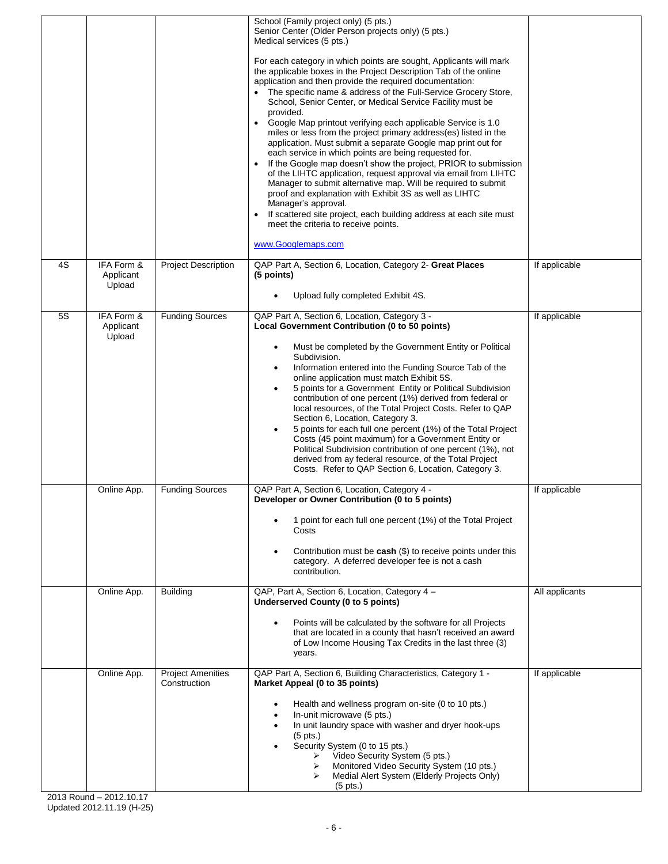|    |                                   |                                          | School (Family project only) (5 pts.)<br>Senior Center (Older Person projects only) (5 pts.)<br>Medical services (5 pts.)<br>For each category in which points are sought, Applicants will mark<br>the applicable boxes in the Project Description Tab of the online<br>application and then provide the required documentation:<br>The specific name & address of the Full-Service Grocery Store,<br>School, Senior Center, or Medical Service Facility must be<br>provided.<br>Google Map printout verifying each applicable Service is 1.0<br>miles or less from the project primary address(es) listed in the<br>application. Must submit a separate Google map print out for<br>each service in which points are being requested for.<br>If the Google map doesn't show the project, PRIOR to submission<br>of the LIHTC application, request approval via email from LIHTC<br>Manager to submit alternative map. Will be required to submit<br>proof and explanation with Exhibit 3S as well as LIHTC<br>Manager's approval.<br>If scattered site project, each building address at each site must<br>meet the criteria to receive points.<br>www.Googlemaps.com |                |
|----|-----------------------------------|------------------------------------------|------------------------------------------------------------------------------------------------------------------------------------------------------------------------------------------------------------------------------------------------------------------------------------------------------------------------------------------------------------------------------------------------------------------------------------------------------------------------------------------------------------------------------------------------------------------------------------------------------------------------------------------------------------------------------------------------------------------------------------------------------------------------------------------------------------------------------------------------------------------------------------------------------------------------------------------------------------------------------------------------------------------------------------------------------------------------------------------------------------------------------------------------------------------------|----------------|
| 4S | IFA Form &<br>Applicant<br>Upload | <b>Project Description</b>               | QAP Part A, Section 6, Location, Category 2- Great Places<br>(5 points)<br>Upload fully completed Exhibit 4S.                                                                                                                                                                                                                                                                                                                                                                                                                                                                                                                                                                                                                                                                                                                                                                                                                                                                                                                                                                                                                                                          | If applicable  |
|    |                                   |                                          |                                                                                                                                                                                                                                                                                                                                                                                                                                                                                                                                                                                                                                                                                                                                                                                                                                                                                                                                                                                                                                                                                                                                                                        |                |
| 5S | IFA Form &<br>Applicant<br>Upload | <b>Funding Sources</b>                   | QAP Part A, Section 6, Location, Category 3 -<br>Local Government Contribution (0 to 50 points)<br>Must be completed by the Government Entity or Political<br>Subdivision.<br>Information entered into the Funding Source Tab of the<br>online application must match Exhibit 5S.<br>5 points for a Government Entity or Political Subdivision<br>contribution of one percent (1%) derived from federal or<br>local resources, of the Total Project Costs. Refer to QAP<br>Section 6, Location, Category 3.<br>5 points for each full one percent (1%) of the Total Project<br>Costs (45 point maximum) for a Government Entity or<br>Political Subdivision contribution of one percent (1%), not<br>derived from ay federal resource, of the Total Project<br>Costs. Refer to QAP Section 6, Location, Category 3.                                                                                                                                                                                                                                                                                                                                                    | If applicable  |
|    | Online App.                       | <b>Funding Sources</b>                   | QAP Part A, Section 6, Location, Category 4 -<br>Developer or Owner Contribution (0 to 5 points)<br>1 point for each full one percent (1%) of the Total Project<br>Costs<br>Contribution must be $cash$ ( $$$ ) to receive points under this<br>category. A deferred developer fee is not a cash<br>contribution.                                                                                                                                                                                                                                                                                                                                                                                                                                                                                                                                                                                                                                                                                                                                                                                                                                                      | If applicable  |
|    | Online App.                       | <b>Building</b>                          | QAP, Part A, Section 6, Location, Category 4 -<br>Underserved County (0 to 5 points)<br>Points will be calculated by the software for all Projects<br>that are located in a county that hasn't received an award<br>of Low Income Housing Tax Credits in the last three (3)<br>years.                                                                                                                                                                                                                                                                                                                                                                                                                                                                                                                                                                                                                                                                                                                                                                                                                                                                                  | All applicants |
|    | Online App.                       | <b>Project Amenities</b><br>Construction | QAP Part A, Section 6, Building Characteristics, Category 1 -<br>Market Appeal (0 to 35 points)<br>Health and wellness program on-site (0 to 10 pts.)<br>$\bullet$<br>In-unit microwave (5 pts.)<br>In unit laundry space with washer and dryer hook-ups<br>$(5 \text{ pts.})$<br>Security System (0 to 15 pts.)<br>Video Security System (5 pts.)<br>⋗<br>Monitored Video Security System (10 pts.)<br>➤<br>Medial Alert System (Elderly Projects Only)<br>➤<br>$(5$ pts.)                                                                                                                                                                                                                                                                                                                                                                                                                                                                                                                                                                                                                                                                                            | If applicable  |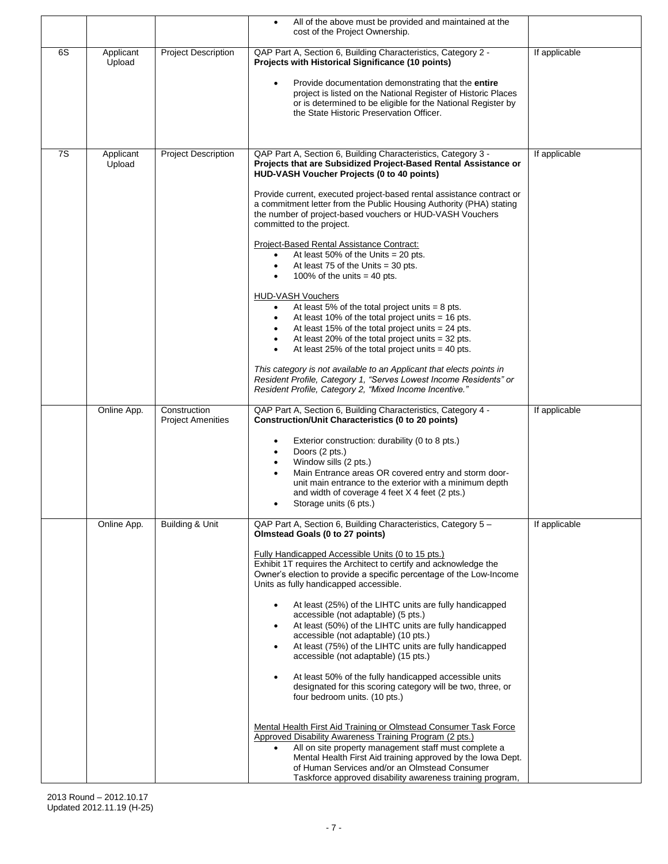|    |                     |                                          | All of the above must be provided and maintained at the<br>$\bullet$<br>cost of the Project Ownership.                                                                                                                                                                                                                                                                                                                                                                                                                                                                                                                                                                                                                                                                                                                                                                                                                                                                                                                                                                                                                                                                                                                                       |               |
|----|---------------------|------------------------------------------|----------------------------------------------------------------------------------------------------------------------------------------------------------------------------------------------------------------------------------------------------------------------------------------------------------------------------------------------------------------------------------------------------------------------------------------------------------------------------------------------------------------------------------------------------------------------------------------------------------------------------------------------------------------------------------------------------------------------------------------------------------------------------------------------------------------------------------------------------------------------------------------------------------------------------------------------------------------------------------------------------------------------------------------------------------------------------------------------------------------------------------------------------------------------------------------------------------------------------------------------|---------------|
| 6S | Applicant<br>Upload | <b>Project Description</b>               | QAP Part A, Section 6, Building Characteristics, Category 2 -<br>Projects with Historical Significance (10 points)<br>Provide documentation demonstrating that the entire<br>$\bullet$<br>project is listed on the National Register of Historic Places<br>or is determined to be eligible for the National Register by<br>the State Historic Preservation Officer.                                                                                                                                                                                                                                                                                                                                                                                                                                                                                                                                                                                                                                                                                                                                                                                                                                                                          | If applicable |
| 7S | Applicant<br>Upload | <b>Project Description</b>               | QAP Part A, Section 6, Building Characteristics, Category 3 -<br>Projects that are Subsidized Project-Based Rental Assistance or<br>HUD-VASH Voucher Projects (0 to 40 points)<br>Provide current, executed project-based rental assistance contract or<br>a commitment letter from the Public Housing Authority (PHA) stating<br>the number of project-based vouchers or HUD-VASH Vouchers<br>committed to the project.<br>Project-Based Rental Assistance Contract:<br>At least 50% of the Units $= 20$ pts.<br>$\bullet$<br>At least 75 of the Units $=$ 30 pts.<br>$\bullet$<br>100% of the units $=$ 40 pts.<br><b>HUD-VASH Vouchers</b><br>At least 5% of the total project units $= 8$ pts.<br>$\bullet$<br>At least 10% of the total project units $=$ 16 pts.<br>٠<br>At least 15% of the total project units $= 24$ pts.<br>At least 20% of the total project units $=$ 32 pts.<br>$\bullet$<br>At least 25% of the total project units $=$ 40 pts.<br>$\bullet$<br>This category is not available to an Applicant that elects points in<br>Resident Profile, Category 1, "Serves Lowest Income Residents" or<br>Resident Profile, Category 2, "Mixed Income Incentive."                                                           | If applicable |
|    | Online App.         | Construction<br><b>Project Amenities</b> | QAP Part A, Section 6, Building Characteristics, Category 4 -<br><b>Construction/Unit Characteristics (0 to 20 points)</b><br>Exterior construction: durability (0 to 8 pts.)<br>٠<br>Doors (2 pts.)<br>$\bullet$<br>Window sills (2 pts.)<br>$\bullet$<br>Main Entrance areas OR covered entry and storm door-<br>unit main entrance to the exterior with a minimum depth<br>and width of coverage 4 feet X 4 feet (2 pts.)<br>Storage units (6 pts.)                                                                                                                                                                                                                                                                                                                                                                                                                                                                                                                                                                                                                                                                                                                                                                                       | If applicable |
|    | Online App.         | <b>Building &amp; Unit</b>               | QAP Part A, Section 6, Building Characteristics, Category 5 -<br>Olmstead Goals (0 to 27 points)<br><b>Fully Handicapped Accessible Units (0 to 15 pts.)</b><br>Exhibit 1T requires the Architect to certify and acknowledge the<br>Owner's election to provide a specific percentage of the Low-Income<br>Units as fully handicapped accessible.<br>At least (25%) of the LIHTC units are fully handicapped<br>$\bullet$<br>accessible (not adaptable) (5 pts.)<br>At least (50%) of the LIHTC units are fully handicapped<br>$\bullet$<br>accessible (not adaptable) (10 pts.)<br>At least (75%) of the LIHTC units are fully handicapped<br>$\bullet$<br>accessible (not adaptable) (15 pts.)<br>At least 50% of the fully handicapped accessible units<br>$\bullet$<br>designated for this scoring category will be two, three, or<br>four bedroom units. (10 pts.)<br>Mental Health First Aid Training or Olmstead Consumer Task Force<br>Approved Disability Awareness Training Program (2 pts.)<br>All on site property management staff must complete a<br>Mental Health First Aid training approved by the Iowa Dept.<br>of Human Services and/or an Olmstead Consumer<br>Taskforce approved disability awareness training program, | If applicable |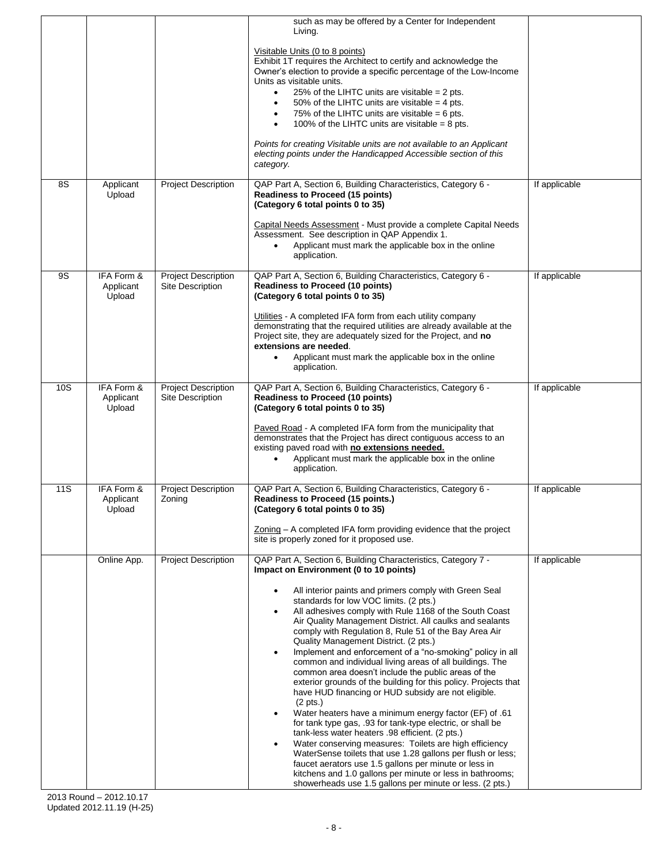|           |                                   |                                                | such as may be offered by a Center for Independent<br>Living.<br>Visitable Units (0 to 8 points)<br>Exhibit 1T requires the Architect to certify and acknowledge the<br>Owner's election to provide a specific percentage of the Low-Income<br>Units as visitable units.<br>25% of the LIHTC units are visitable $= 2$ pts.<br>$\bullet$<br>50% of the LIHTC units are visitable $=$ 4 pts.<br>$\bullet$<br>75% of the LIHTC units are visitable = $6$ pts.<br>100% of the LIHTC units are visitable = 8 pts.<br>$\bullet$<br>Points for creating Visitable units are not available to an Applicant<br>electing points under the Handicapped Accessible section of this<br>category.                                                                                                                                                                                                                                                                                                                                                                                                                                                                                                                                                                                                |               |
|-----------|-----------------------------------|------------------------------------------------|-------------------------------------------------------------------------------------------------------------------------------------------------------------------------------------------------------------------------------------------------------------------------------------------------------------------------------------------------------------------------------------------------------------------------------------------------------------------------------------------------------------------------------------------------------------------------------------------------------------------------------------------------------------------------------------------------------------------------------------------------------------------------------------------------------------------------------------------------------------------------------------------------------------------------------------------------------------------------------------------------------------------------------------------------------------------------------------------------------------------------------------------------------------------------------------------------------------------------------------------------------------------------------------|---------------|
| 8S        | Applicant<br>Upload               | <b>Project Description</b>                     | QAP Part A, Section 6, Building Characteristics, Category 6 -<br><b>Readiness to Proceed (15 points)</b><br>(Category 6 total points 0 to 35)<br>Capital Needs Assessment - Must provide a complete Capital Needs<br>Assessment. See description in QAP Appendix 1.<br>Applicant must mark the applicable box in the online<br>$\bullet$<br>application.                                                                                                                                                                                                                                                                                                                                                                                                                                                                                                                                                                                                                                                                                                                                                                                                                                                                                                                            | If applicable |
| <b>9S</b> | IFA Form &<br>Applicant<br>Upload | <b>Project Description</b><br>Site Description | QAP Part A, Section 6, Building Characteristics, Category 6 -<br><b>Readiness to Proceed (10 points)</b><br>(Category 6 total points 0 to 35)<br>Utilities - A completed IFA form from each utility company<br>demonstrating that the required utilities are already available at the<br>Project site, they are adequately sized for the Project, and no<br>extensions are needed.<br>Applicant must mark the applicable box in the online<br>$\bullet$<br>application.                                                                                                                                                                                                                                                                                                                                                                                                                                                                                                                                                                                                                                                                                                                                                                                                             | If applicable |
| 10S       | IFA Form &<br>Applicant<br>Upload | <b>Project Description</b><br>Site Description | QAP Part A, Section 6, Building Characteristics, Category 6 -<br><b>Readiness to Proceed (10 points)</b><br>(Category 6 total points 0 to 35)<br>Paved Road - A completed IFA form from the municipality that<br>demonstrates that the Project has direct contiguous access to an<br>existing paved road with no extensions needed.<br>Applicant must mark the applicable box in the online<br>$\bullet$<br>application.                                                                                                                                                                                                                                                                                                                                                                                                                                                                                                                                                                                                                                                                                                                                                                                                                                                            | If applicable |
| 11S       | IFA Form &<br>Applicant<br>Upload | <b>Project Description</b><br>Zoning           | QAP Part A, Section 6, Building Characteristics, Category 6 -<br>Readiness to Proceed (15 points.)<br>(Category 6 total points 0 to 35)<br>Zoning - A completed IFA form providing evidence that the project<br>site is properly zoned for it proposed use.                                                                                                                                                                                                                                                                                                                                                                                                                                                                                                                                                                                                                                                                                                                                                                                                                                                                                                                                                                                                                         | If applicable |
|           | Online App.                       | <b>Project Description</b>                     | QAP Part A, Section 6, Building Characteristics, Category 7 -<br>Impact on Environment (0 to 10 points)<br>All interior paints and primers comply with Green Seal<br>standards for low VOC limits. (2 pts.)<br>All adhesives comply with Rule 1168 of the South Coast<br>Air Quality Management District. All caulks and sealants<br>comply with Regulation 8, Rule 51 of the Bay Area Air<br>Quality Management District. (2 pts.)<br>Implement and enforcement of a "no-smoking" policy in all<br>$\bullet$<br>common and individual living areas of all buildings. The<br>common area doesn't include the public areas of the<br>exterior grounds of the building for this policy. Projects that<br>have HUD financing or HUD subsidy are not eligible.<br>$(2 \text{ pts.})$<br>Water heaters have a minimum energy factor (EF) of .61<br>$\bullet$<br>for tank type gas, .93 for tank-type electric, or shall be<br>tank-less water heaters .98 efficient. (2 pts.)<br>Water conserving measures: Toilets are high efficiency<br>WaterSense toilets that use 1.28 gallons per flush or less;<br>faucet aerators use 1.5 gallons per minute or less in<br>kitchens and 1.0 gallons per minute or less in bathrooms;<br>showerheads use 1.5 gallons per minute or less. (2 pts.) | If applicable |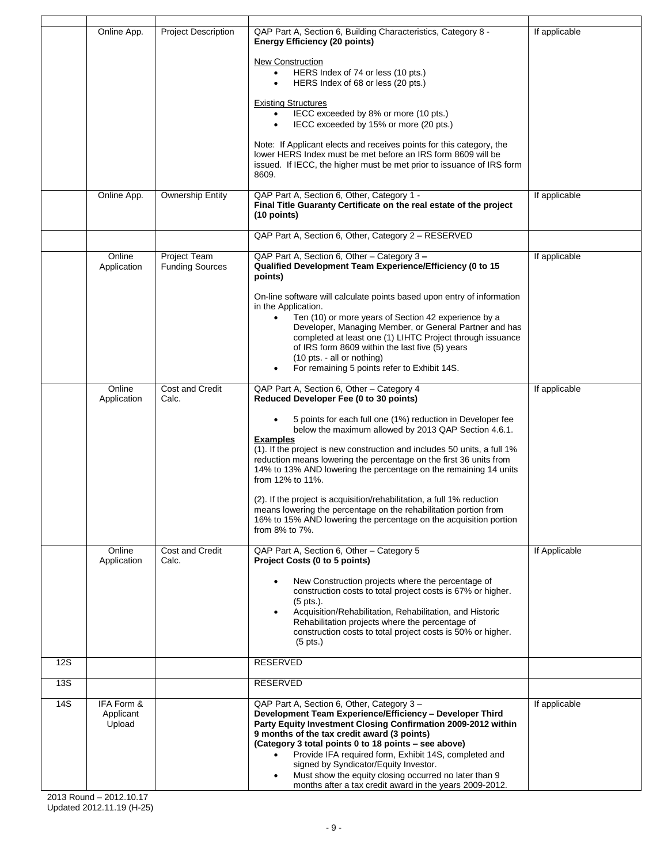|            | Online App.                       | <b>Project Description</b>             | QAP Part A, Section 6, Building Characteristics, Category 8 -<br><b>Energy Efficiency (20 points)</b>                                                                                                                                                                                                                                                                                                                                                                                                                          | If applicable |
|------------|-----------------------------------|----------------------------------------|--------------------------------------------------------------------------------------------------------------------------------------------------------------------------------------------------------------------------------------------------------------------------------------------------------------------------------------------------------------------------------------------------------------------------------------------------------------------------------------------------------------------------------|---------------|
|            |                                   |                                        | New Construction<br>HERS Index of 74 or less (10 pts.)<br>$\bullet$<br>HERS Index of 68 or less (20 pts.)                                                                                                                                                                                                                                                                                                                                                                                                                      |               |
|            |                                   |                                        | <b>Existing Structures</b><br>IECC exceeded by 8% or more (10 pts.)<br>$\bullet$<br>IECC exceeded by 15% or more (20 pts.)<br>$\bullet$                                                                                                                                                                                                                                                                                                                                                                                        |               |
|            |                                   |                                        | Note: If Applicant elects and receives points for this category, the<br>lower HERS Index must be met before an IRS form 8609 will be<br>issued. If IECC, the higher must be met prior to issuance of IRS form<br>8609.                                                                                                                                                                                                                                                                                                         |               |
|            | Online App.                       | <b>Ownership Entity</b>                | QAP Part A, Section 6, Other, Category 1 -<br>Final Title Guaranty Certificate on the real estate of the project<br>$(10$ points)                                                                                                                                                                                                                                                                                                                                                                                              | If applicable |
|            |                                   |                                        | QAP Part A, Section 6, Other, Category 2 - RESERVED                                                                                                                                                                                                                                                                                                                                                                                                                                                                            |               |
|            | Online<br>Application             | Project Team<br><b>Funding Sources</b> | QAP Part A, Section 6, Other - Category 3 -<br>Qualified Development Team Experience/Efficiency (0 to 15<br>points)                                                                                                                                                                                                                                                                                                                                                                                                            | If applicable |
|            |                                   |                                        | On-line software will calculate points based upon entry of information<br>in the Application.                                                                                                                                                                                                                                                                                                                                                                                                                                  |               |
|            |                                   |                                        | Ten (10) or more years of Section 42 experience by a<br>$\bullet$<br>Developer, Managing Member, or General Partner and has<br>completed at least one (1) LIHTC Project through issuance<br>of IRS form 8609 within the last five (5) years<br>(10 pts. - all or nothing)<br>For remaining 5 points refer to Exhibit 14S.                                                                                                                                                                                                      |               |
|            |                                   |                                        |                                                                                                                                                                                                                                                                                                                                                                                                                                                                                                                                |               |
|            | Online<br>Application             | Cost and Credit<br>Calc.               | QAP Part A, Section 6, Other - Category 4<br>Reduced Developer Fee (0 to 30 points)                                                                                                                                                                                                                                                                                                                                                                                                                                            | If applicable |
|            |                                   |                                        | 5 points for each full one (1%) reduction in Developer fee<br>below the maximum allowed by 2013 QAP Section 4.6.1.<br><b>Examples</b><br>(1). If the project is new construction and includes 50 units, a full 1%<br>reduction means lowering the percentage on the first 36 units from<br>14% to 13% AND lowering the percentage on the remaining 14 units<br>from 12% to 11%.                                                                                                                                                |               |
|            |                                   |                                        | (2). If the project is acquisition/rehabilitation, a full 1% reduction<br>means lowering the percentage on the rehabilitation portion from<br>16% to 15% AND lowering the percentage on the acquisition portion<br>from 8% to 7%.                                                                                                                                                                                                                                                                                              |               |
|            | Online<br>Application             | Cost and Credit<br>Calc.               | QAP Part A, Section 6, Other - Category 5<br>Project Costs (0 to 5 points)                                                                                                                                                                                                                                                                                                                                                                                                                                                     | If Applicable |
|            |                                   |                                        | New Construction projects where the percentage of<br>construction costs to total project costs is 67% or higher.<br>$(5$ pts.).<br>Acquisition/Rehabilitation, Rehabilitation, and Historic<br>Rehabilitation projects where the percentage of<br>construction costs to total project costs is 50% or higher.<br>$(5$ pts.)                                                                                                                                                                                                    |               |
| <b>12S</b> |                                   |                                        | <b>RESERVED</b>                                                                                                                                                                                                                                                                                                                                                                                                                                                                                                                |               |
| 13S        |                                   |                                        | <b>RESERVED</b>                                                                                                                                                                                                                                                                                                                                                                                                                                                                                                                |               |
| 14S        | IFA Form &<br>Applicant<br>Upload |                                        | QAP Part A, Section 6, Other, Category 3 -<br>Development Team Experience/Efficiency - Developer Third<br>Party Equity Investment Closing Confirmation 2009-2012 within<br>9 months of the tax credit award (3 points)<br>(Category 3 total points 0 to 18 points - see above)<br>Provide IFA required form, Exhibit 14S, completed and<br>$\bullet$<br>signed by Syndicator/Equity Investor.<br>Must show the equity closing occurred no later than 9<br>$\bullet$<br>months after a tax credit award in the years 2009-2012. | If applicable |
|            |                                   |                                        |                                                                                                                                                                                                                                                                                                                                                                                                                                                                                                                                |               |